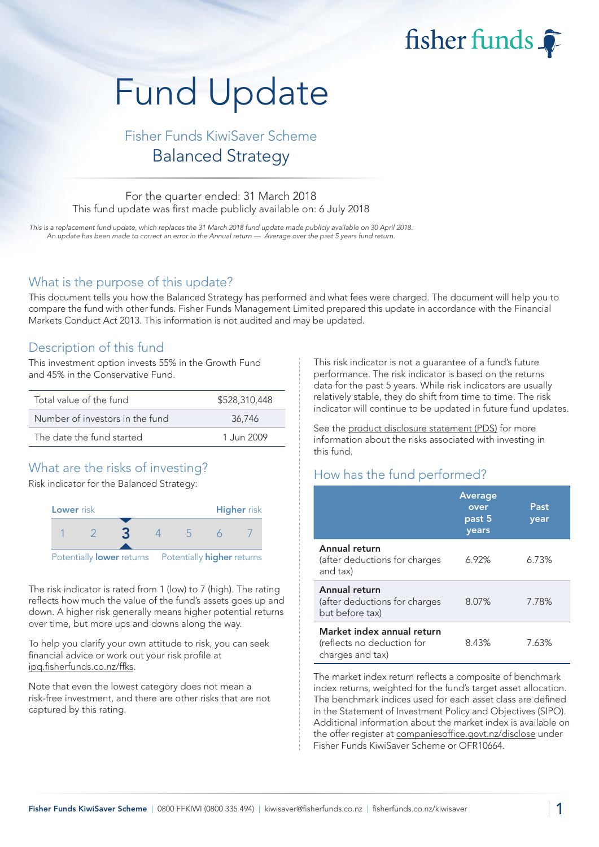# fisher funds

# Fund Update

# Fisher Funds KiwiSaver Scheme Balanced Strategy

#### For the quarter ended: 31 March 2018 This fund update was first made publicly available on: 6 July 2018

This is a replacement fund update, which replaces the 31 March 2018 fund update made publicly available on 30 April 2018. An update has been made to correct an error in the Annual return — Average over the past 5 years fund return.

#### What is the purpose of this update?

This document tells you how the Balanced Strategy has performed and what fees were charged. The document will help you to compare the fund with other funds. Fisher Funds Management Limited prepared this update in accordance with the Financial Markets Conduct Act 2013. This information is not audited and may be updated.

# Description of this fund

This investment option invests 55% in the Growth Fund and 45% in the Conservative Fund.

| Total value of the fund         | \$528,310,448 |
|---------------------------------|---------------|
| Number of investors in the fund | 36.746        |
| The date the fund started       | 1.Jun 2009    |

# What are the risks of investing?

Risk indicator for the Balanced Strategy:



The risk indicator is rated from 1 (low) to 7 (high). The rating reflects how much the value of the fund's assets goes up and down. A higher risk generally means higher potential returns over time, but more ups and downs along the way.

To help you clarify your own attitude to risk, you can seek financial advice or work out your risk profile at [ipq.fisherfunds.co.nz/ffks.](https://ipq.fisherfunds.co.nz/ffks)

Note that even the lowest category does not mean a risk-free investment, and there are other risks that are not captured by this rating.

This risk indicator is not a guarantee of a fund's future performance. The risk indicator is based on the returns data for the past 5 years. While risk indicators are usually relatively stable, they do shift from time to time. The risk indicator will continue to be updated in future fund updates.

See the [product disclosure statement \(PDS\)](https://fisherfunds.co.nz/assets/PDS/Fisher-Funds-KiwiSaver-Scheme-PDS.pdf) for more information about the risks associated with investing in this fund.

# How has the fund performed?

|                                                                              | <b>Average</b><br>over<br>past 5<br>years | Past<br>year |
|------------------------------------------------------------------------------|-------------------------------------------|--------------|
| Annual return<br>(after deductions for charges<br>and tax)                   | 6.92%                                     | 6.73%        |
| Annual return<br>(after deductions for charges<br>but before tax)            | 8.07%                                     | 7.78%        |
| Market index annual return<br>(reflects no deduction for<br>charges and tax) | 8.43%                                     | 7.63%        |

The market index return reflects a composite of benchmark index returns, weighted for the fund's target asset allocation. The benchmark indices used for each asset class are defined in the Statement of Investment Policy and Objectives (SIPO). Additional information about the market index is available on the offer register at [companiesoffice.govt.nz/disclose](http://companiesoffice.govt.nz/disclose) under Fisher Funds KiwiSaver Scheme or OFR10664.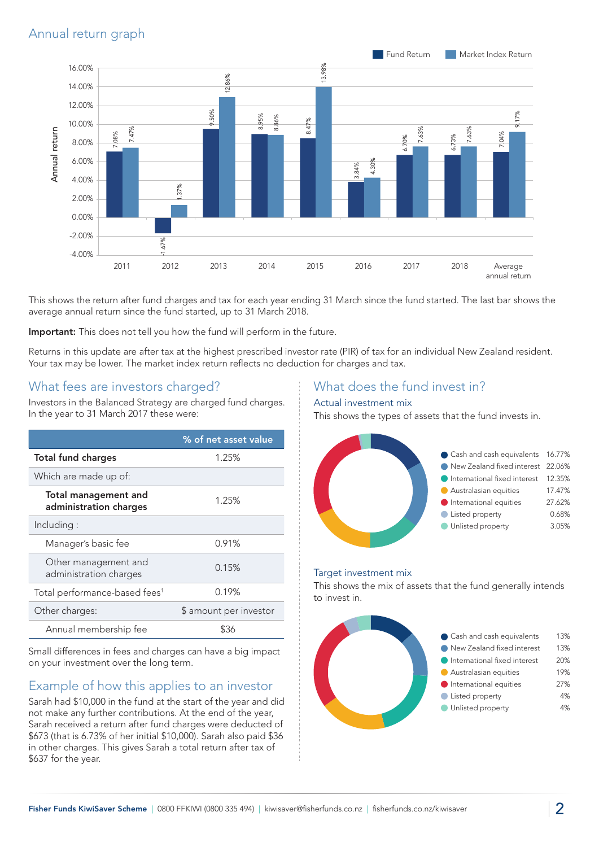# Annual return graph



This shows the return after fund charges and tax for each year ending 31 March since the fund started. The last bar shows the average annual return since the fund started, up to 31 March 2018.

Important: This does not tell you how the fund will perform in the future.

Returns in this update are after tax at the highest prescribed investor rate (PIR) of tax for an individual New Zealand resident. Your tax may be lower. The market index return reflects no deduction for charges and tax.

#### What fees are investors charged?

Investors in the Balanced Strategy are charged fund charges. In the year to 31 March 2017 these were:

|                                                       | % of net asset value   |
|-------------------------------------------------------|------------------------|
| <b>Total fund charges</b>                             | 1.25%                  |
| Which are made up of:                                 |                        |
| <b>Total management and</b><br>administration charges | 1.25%                  |
| Including:                                            |                        |
| Manager's basic fee                                   | 0.91%                  |
| Other management and<br>administration charges        | 0.15%                  |
| Total performance-based fees <sup>1</sup>             | 0.19%                  |
| Other charges:                                        | \$ amount per investor |
| Annual membership fee                                 | 836                    |

Small differences in fees and charges can have a big impact on your investment over the long term.

# Example of how this applies to an investor

Sarah had \$10,000 in the fund at the start of the year and did not make any further contributions. At the end of the year, Sarah received a return after fund charges were deducted of \$673 (that is 6.73% of her initial \$10,000). Sarah also paid \$36 in other charges. This gives Sarah a total return after tax of \$637 for the year.

#### What does the fund invest in?

#### Actual investment mix

This shows the types of assets that the fund invests in.



#### Target investment mix

This shows the mix of assets that the fund generally intends to invest in.